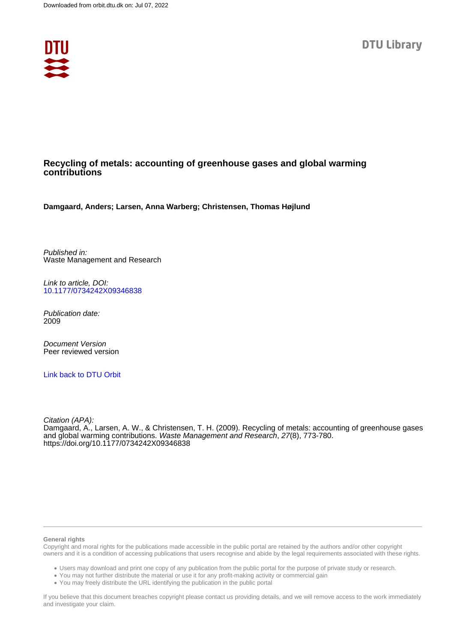

# **Recycling of metals: accounting of greenhouse gases and global warming contributions**

**Damgaard, Anders; Larsen, Anna Warberg; Christensen, Thomas Højlund**

Published in: Waste Management and Research

Link to article, DOI: [10.1177/0734242X09346838](https://doi.org/10.1177/0734242X09346838)

Publication date: 2009

Document Version Peer reviewed version

[Link back to DTU Orbit](https://orbit.dtu.dk/en/publications/7ff7120a-cc36-4968-9fea-4153b1d3e572)

Citation (APA): Damgaard, A., Larsen, A. W., & Christensen, T. H. (2009). Recycling of metals: accounting of greenhouse gases and global warming contributions. Waste Management and Research, 27(8), 773-780. <https://doi.org/10.1177/0734242X09346838>

#### **General rights**

Copyright and moral rights for the publications made accessible in the public portal are retained by the authors and/or other copyright owners and it is a condition of accessing publications that users recognise and abide by the legal requirements associated with these rights.

Users may download and print one copy of any publication from the public portal for the purpose of private study or research.

- You may not further distribute the material or use it for any profit-making activity or commercial gain
- You may freely distribute the URL identifying the publication in the public portal

If you believe that this document breaches copyright please contact us providing details, and we will remove access to the work immediately and investigate your claim.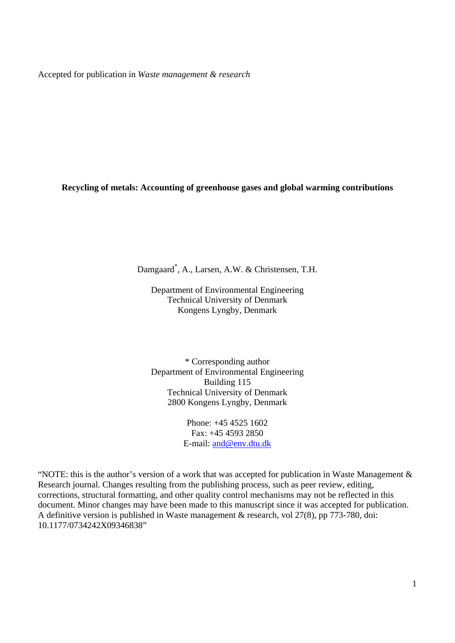Accepted for publication in *Waste management & research*

**Recycling of metals: Accounting of greenhouse gases and global warming contributions**

Damgaard\* , A., Larsen, A.W. & Christensen, T.H.

Department of Environmental Engineering Technical University of Denmark Kongens Lyngby, Denmark

\* Corresponding author Department of Environmental Engineering Building 115 Technical University of Denmark 2800 Kongens Lyngby, Denmark

> Phone: +45 4525 1602 Fax: +45 4593 2850 E-mail: and@env.dtu.dk

"NOTE: this is the author's version of a work that was accepted for publication in Waste Management & Research journal. Changes resulting from the publishing process, such as peer review, editing, corrections, structural formatting, and other quality control mechanisms may not be reflected in this document. Minor changes may have been made to this manuscript since it was accepted for publication. A definitive version is published in Waste management & research, vol 27(8), pp 773-780, doi: 10.1177/0734242X09346838"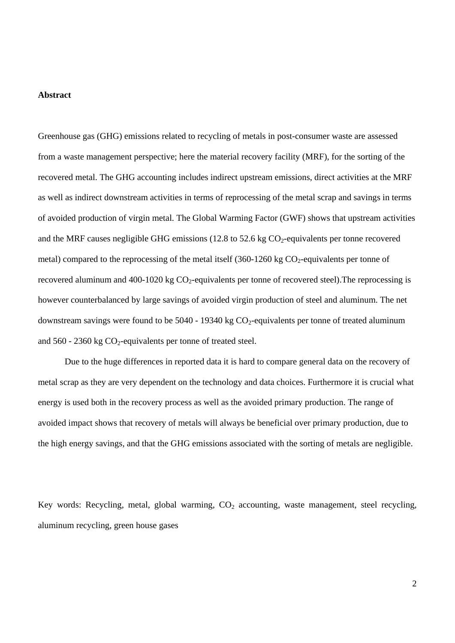### **Abstract**

Greenhouse gas (GHG) emissions related to recycling of metals in post-consumer waste are assessed from a waste management perspective; here the material recovery facility (MRF), for the sorting of the recovered metal. The GHG accounting includes indirect upstream emissions, direct activities at the MRF as well as indirect downstream activities in terms of reprocessing of the metal scrap and savings in terms of avoided production of virgin metal. The Global Warming Factor (GWF) shows that upstream activities and the MRF causes negligible GHG emissions (12.8 to 52.6 kg  $CO<sub>2</sub>$ -equivalents per tonne recovered metal) compared to the reprocessing of the metal itself  $(360-1260 \text{ kg CO}_2)$ -equivalents per tonne of recovered aluminum and 400-1020 kg  $CO<sub>2</sub>$ -equivalents per tonne of recovered steel). The reprocessing is however counterbalanced by large savings of avoided virgin production of steel and aluminum. The net downstream savings were found to be  $5040 - 19340$  kg  $CO<sub>2</sub>$ -equivalents per tonne of treated aluminum and  $560 - 2360$  kg  $CO<sub>2</sub>$ -equivalents per tonne of treated steel.

 Due to the huge differences in reported data it is hard to compare general data on the recovery of metal scrap as they are very dependent on the technology and data choices. Furthermore it is crucial what energy is used both in the recovery process as well as the avoided primary production. The range of avoided impact shows that recovery of metals will always be beneficial over primary production, due to the high energy savings, and that the GHG emissions associated with the sorting of metals are negligible.

Key words: Recycling, metal, global warming,  $CO<sub>2</sub>$  accounting, waste management, steel recycling, aluminum recycling, green house gases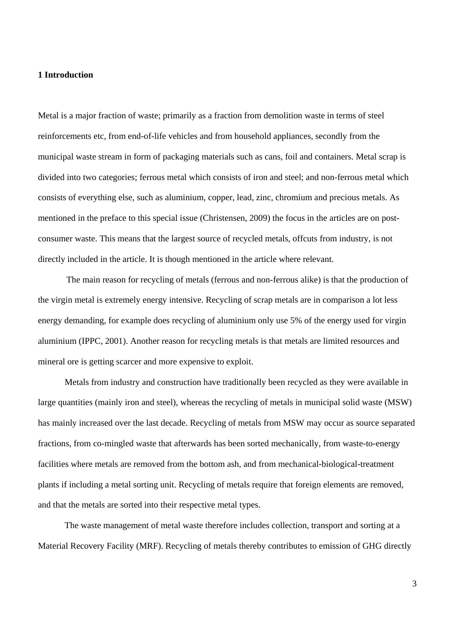## **1 Introduction**

Metal is a major fraction of waste; primarily as a fraction from demolition waste in terms of steel reinforcements etc, from end-of-life vehicles and from household appliances, secondly from the municipal waste stream in form of packaging materials such as cans, foil and containers. Metal scrap is divided into two categories; ferrous metal which consists of iron and steel; and non-ferrous metal which consists of everything else, such as aluminium, copper, lead, zinc, chromium and precious metals. As mentioned in the preface to this special issue (Christensen, 2009) the focus in the articles are on postconsumer waste. This means that the largest source of recycled metals, offcuts from industry, is not directly included in the article. It is though mentioned in the article where relevant.

 The main reason for recycling of metals (ferrous and non-ferrous alike) is that the production of the virgin metal is extremely energy intensive. Recycling of scrap metals are in comparison a lot less energy demanding, for example does recycling of aluminium only use 5% of the energy used for virgin aluminium (IPPC, 2001). Another reason for recycling metals is that metals are limited resources and mineral ore is getting scarcer and more expensive to exploit.

 Metals from industry and construction have traditionally been recycled as they were available in large quantities (mainly iron and steel), whereas the recycling of metals in municipal solid waste (MSW) has mainly increased over the last decade. Recycling of metals from MSW may occur as source separated fractions, from co-mingled waste that afterwards has been sorted mechanically, from waste-to-energy facilities where metals are removed from the bottom ash, and from mechanical-biological-treatment plants if including a metal sorting unit. Recycling of metals require that foreign elements are removed, and that the metals are sorted into their respective metal types.

The waste management of metal waste therefore includes collection, transport and sorting at a Material Recovery Facility (MRF). Recycling of metals thereby contributes to emission of GHG directly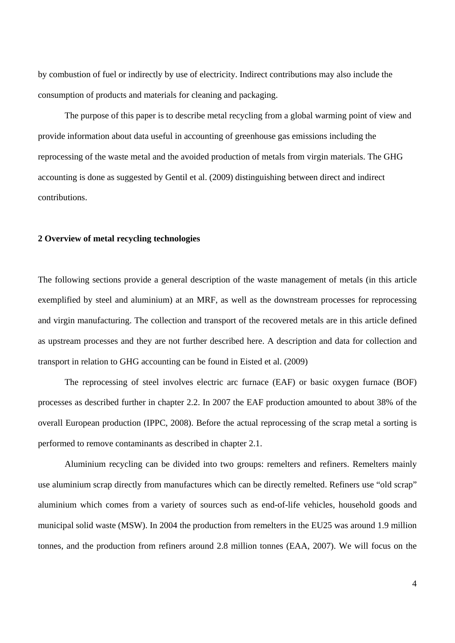by combustion of fuel or indirectly by use of electricity. Indirect contributions may also include the consumption of products and materials for cleaning and packaging.

The purpose of this paper is to describe metal recycling from a global warming point of view and provide information about data useful in accounting of greenhouse gas emissions including the reprocessing of the waste metal and the avoided production of metals from virgin materials. The GHG accounting is done as suggested by Gentil et al. (2009) distinguishing between direct and indirect contributions.

# **2 Overview of metal recycling technologies**

The following sections provide a general description of the waste management of metals (in this article exemplified by steel and aluminium) at an MRF, as well as the downstream processes for reprocessing and virgin manufacturing. The collection and transport of the recovered metals are in this article defined as upstream processes and they are not further described here. A description and data for collection and transport in relation to GHG accounting can be found in Eisted et al. (2009)

 The reprocessing of steel involves electric arc furnace (EAF) or basic oxygen furnace (BOF) processes as described further in chapter 2.2. In 2007 the EAF production amounted to about 38% of the overall European production (IPPC, 2008). Before the actual reprocessing of the scrap metal a sorting is performed to remove contaminants as described in chapter 2.1.

 Aluminium recycling can be divided into two groups: remelters and refiners. Remelters mainly use aluminium scrap directly from manufactures which can be directly remelted. Refiners use "old scrap" aluminium which comes from a variety of sources such as end-of-life vehicles, household goods and municipal solid waste (MSW). In 2004 the production from remelters in the EU25 was around 1.9 million tonnes, and the production from refiners around 2.8 million tonnes (EAA, 2007). We will focus on the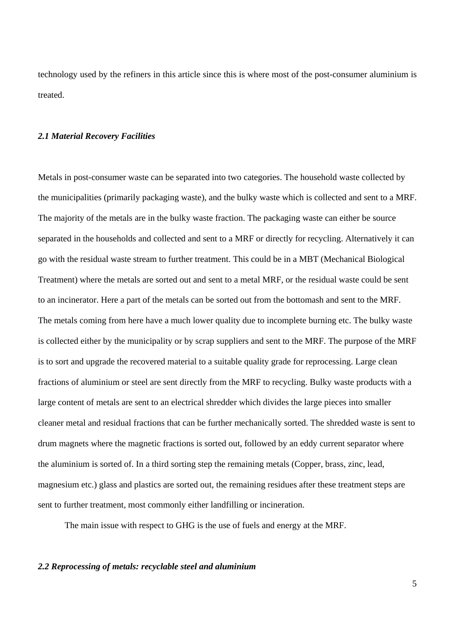technology used by the refiners in this article since this is where most of the post-consumer aluminium is treated.

#### *2.1 Material Recovery Facilities*

Metals in post-consumer waste can be separated into two categories. The household waste collected by the municipalities (primarily packaging waste), and the bulky waste which is collected and sent to a MRF. The majority of the metals are in the bulky waste fraction. The packaging waste can either be source separated in the households and collected and sent to a MRF or directly for recycling. Alternatively it can go with the residual waste stream to further treatment. This could be in a MBT (Mechanical Biological Treatment) where the metals are sorted out and sent to a metal MRF, or the residual waste could be sent to an incinerator. Here a part of the metals can be sorted out from the bottomash and sent to the MRF. The metals coming from here have a much lower quality due to incomplete burning etc. The bulky waste is collected either by the municipality or by scrap suppliers and sent to the MRF. The purpose of the MRF is to sort and upgrade the recovered material to a suitable quality grade for reprocessing. Large clean fractions of aluminium or steel are sent directly from the MRF to recycling. Bulky waste products with a large content of metals are sent to an electrical shredder which divides the large pieces into smaller cleaner metal and residual fractions that can be further mechanically sorted. The shredded waste is sent to drum magnets where the magnetic fractions is sorted out, followed by an eddy current separator where the aluminium is sorted of. In a third sorting step the remaining metals (Copper, brass, zinc, lead, magnesium etc.) glass and plastics are sorted out, the remaining residues after these treatment steps are sent to further treatment, most commonly either landfilling or incineration.

The main issue with respect to GHG is the use of fuels and energy at the MRF.

## *2.2 Reprocessing of metals: recyclable steel and aluminium*

5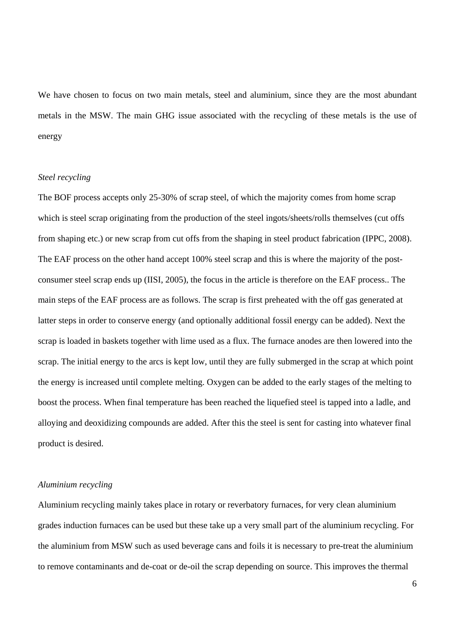We have chosen to focus on two main metals, steel and aluminium, since they are the most abundant metals in the MSW. The main GHG issue associated with the recycling of these metals is the use of energy

### *Steel recycling*

The BOF process accepts only 25-30% of scrap steel, of which the majority comes from home scrap which is steel scrap originating from the production of the steel ingots/sheets/rolls themselves (cut offs from shaping etc.) or new scrap from cut offs from the shaping in steel product fabrication (IPPC, 2008). The EAF process on the other hand accept 100% steel scrap and this is where the majority of the postconsumer steel scrap ends up (IISI, 2005), the focus in the article is therefore on the EAF process.. The main steps of the EAF process are as follows. The scrap is first preheated with the off gas generated at latter steps in order to conserve energy (and optionally additional fossil energy can be added). Next the scrap is loaded in baskets together with lime used as a flux. The furnace anodes are then lowered into the scrap. The initial energy to the arcs is kept low, until they are fully submerged in the scrap at which point the energy is increased until complete melting. Oxygen can be added to the early stages of the melting to boost the process. When final temperature has been reached the liquefied steel is tapped into a ladle, and alloying and deoxidizing compounds are added. After this the steel is sent for casting into whatever final product is desired.

# *Aluminium recycling*

Aluminium recycling mainly takes place in rotary or reverbatory furnaces, for very clean aluminium grades induction furnaces can be used but these take up a very small part of the aluminium recycling. For the aluminium from MSW such as used beverage cans and foils it is necessary to pre-treat the aluminium to remove contaminants and de-coat or de-oil the scrap depending on source. This improves the thermal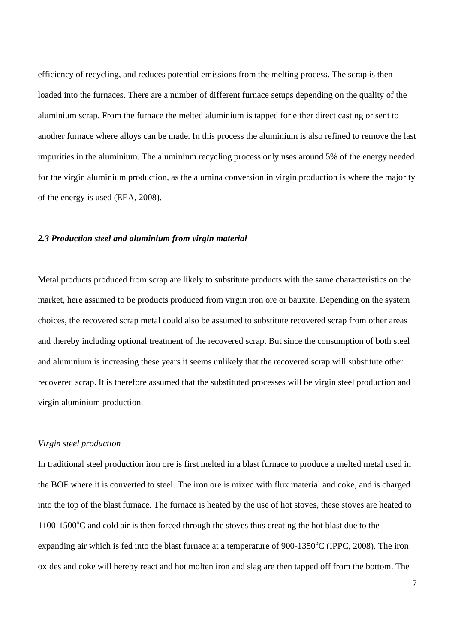efficiency of recycling, and reduces potential emissions from the melting process. The scrap is then loaded into the furnaces. There are a number of different furnace setups depending on the quality of the aluminium scrap. From the furnace the melted aluminium is tapped for either direct casting or sent to another furnace where alloys can be made. In this process the aluminium is also refined to remove the last impurities in the aluminium. The aluminium recycling process only uses around 5% of the energy needed for the virgin aluminium production, as the alumina conversion in virgin production is where the majority of the energy is used (EEA, 2008).

### *2.3 Production steel and aluminium from virgin material*

Metal products produced from scrap are likely to substitute products with the same characteristics on the market, here assumed to be products produced from virgin iron ore or bauxite. Depending on the system choices, the recovered scrap metal could also be assumed to substitute recovered scrap from other areas and thereby including optional treatment of the recovered scrap. But since the consumption of both steel and aluminium is increasing these years it seems unlikely that the recovered scrap will substitute other recovered scrap. It is therefore assumed that the substituted processes will be virgin steel production and virgin aluminium production.

### *Virgin steel production*

In traditional steel production iron ore is first melted in a blast furnace to produce a melted metal used in the BOF where it is converted to steel. The iron ore is mixed with flux material and coke, and is charged into the top of the blast furnace. The furnace is heated by the use of hot stoves, these stoves are heated to 1100-1500°C and cold air is then forced through the stoves thus creating the hot blast due to the expanding air which is fed into the blast furnace at a temperature of  $900-1350^{\circ}$ C (IPPC, 2008). The iron oxides and coke will hereby react and hot molten iron and slag are then tapped off from the bottom. The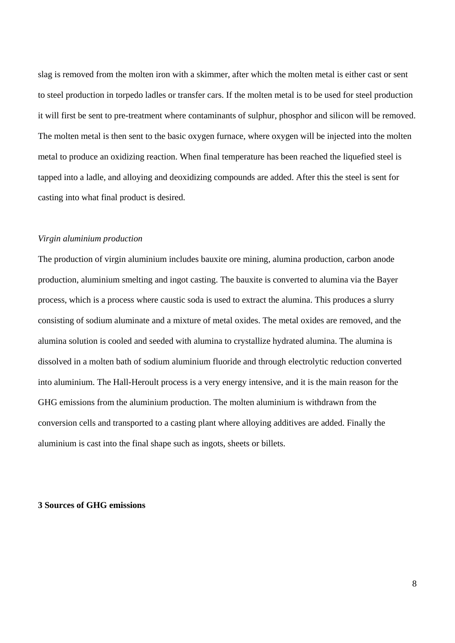slag is removed from the molten iron with a skimmer, after which the molten metal is either cast or sent to steel production in torpedo ladles or transfer cars. If the molten metal is to be used for steel production it will first be sent to pre-treatment where contaminants of sulphur, phosphor and silicon will be removed. The molten metal is then sent to the basic oxygen furnace, where oxygen will be injected into the molten metal to produce an oxidizing reaction. When final temperature has been reached the liquefied steel is tapped into a ladle, and alloying and deoxidizing compounds are added. After this the steel is sent for casting into what final product is desired.

## *Virgin aluminium production*

The production of virgin aluminium includes bauxite ore mining, alumina production, carbon anode production, aluminium smelting and ingot casting. The bauxite is converted to alumina via the Bayer process, which is a process where caustic soda is used to extract the alumina. This produces a slurry consisting of sodium aluminate and a mixture of metal oxides. The metal oxides are removed, and the alumina solution is cooled and seeded with alumina to crystallize hydrated alumina. The alumina is dissolved in a molten bath of sodium aluminium fluoride and through electrolytic reduction converted into aluminium. The Hall-Heroult process is a very energy intensive, and it is the main reason for the GHG emissions from the aluminium production. The molten aluminium is withdrawn from the conversion cells and transported to a casting plant where alloying additives are added. Finally the aluminium is cast into the final shape such as ingots, sheets or billets.

## **3 Sources of GHG emissions**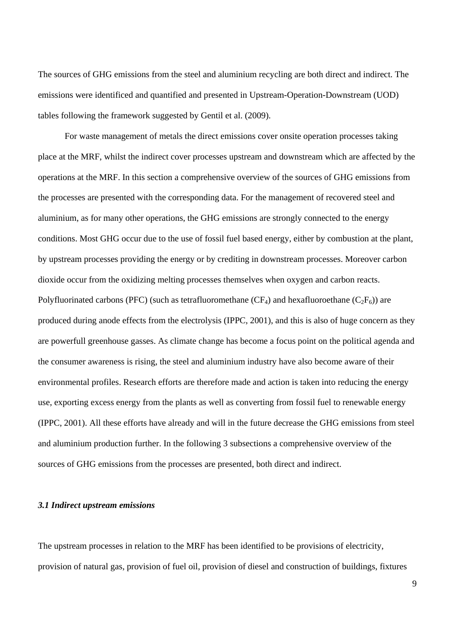The sources of GHG emissions from the steel and aluminium recycling are both direct and indirect. The emissions were identificed and quantified and presented in Upstream-Operation-Downstream (UOD) tables following the framework suggested by Gentil et al. (2009).

For waste management of metals the direct emissions cover onsite operation processes taking place at the MRF, whilst the indirect cover processes upstream and downstream which are affected by the operations at the MRF. In this section a comprehensive overview of the sources of GHG emissions from the processes are presented with the corresponding data. For the management of recovered steel and aluminium, as for many other operations, the GHG emissions are strongly connected to the energy conditions. Most GHG occur due to the use of fossil fuel based energy, either by combustion at the plant, by upstream processes providing the energy or by crediting in downstream processes. Moreover carbon dioxide occur from the oxidizing melting processes themselves when oxygen and carbon reacts. Polyfluorinated carbons (PFC) (such as tetrafluoromethane ( $CF_4$ ) and hexafluoroethane ( $C_2F_6$ )) are produced during anode effects from the electrolysis (IPPC, 2001), and this is also of huge concern as they are powerfull greenhouse gasses. As climate change has become a focus point on the political agenda and the consumer awareness is rising, the steel and aluminium industry have also become aware of their environmental profiles. Research efforts are therefore made and action is taken into reducing the energy use, exporting excess energy from the plants as well as converting from fossil fuel to renewable energy (IPPC, 2001). All these efforts have already and will in the future decrease the GHG emissions from steel and aluminium production further. In the following 3 subsections a comprehensive overview of the sources of GHG emissions from the processes are presented, both direct and indirect.

# *3.1 Indirect upstream emissions*

The upstream processes in relation to the MRF has been identified to be provisions of electricity, provision of natural gas, provision of fuel oil, provision of diesel and construction of buildings, fixtures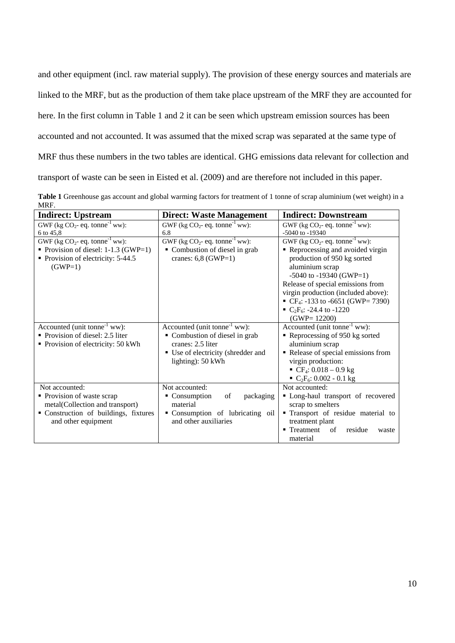and other equipment (incl. raw material supply). The provision of these energy sources and materials are linked to the MRF, but as the production of them take place upstream of the MRF they are accounted for here. In the first column in Table 1 and 2 it can be seen which upstream emission sources has been accounted and not accounted. It was assumed that the mixed scrap was separated at the same type of MRF thus these numbers in the two tables are identical. GHG emissions data relevant for collection and transport of waste can be seen in Eisted et al. (2009) and are therefore not included in this paper.

**Table 1** Greenhouse gas account and global warming factors for treatment of 1 tonne of scrap aluminium (wet weight) in a MRF.

| <b>Indirect: Upstream</b>                     | <b>Direct: Waste Management</b>               | <b>Indirect: Downstream</b>                              |
|-----------------------------------------------|-----------------------------------------------|----------------------------------------------------------|
| GWF (kg $CO_2$ - eq. tonne <sup>-1</sup> ww): | GWF (kg $CO_2$ - eq. tonne <sup>-1</sup> ww): | GWF (kg $CO_2$ - eq. tonne <sup>-1</sup> ww):            |
| 6 to 45,8                                     | 6.8                                           | $-5040$ to $-19340$                                      |
| GWF (kg $CO_2$ - eq. tonne <sup>-1</sup> ww): | GWF (kg $CO_2$ - eq. tonne <sup>-1</sup> ww): | GWF (kg CO <sub>2</sub> - eq. tonne <sup>-1</sup> ww):   |
| • Provision of diesel: $1-1.3$ (GWP=1)        | • Combustion of diesel in grab                | Reprocessing and avoided virgin                          |
| Provision of electricity: 5-44.5              | cranes: $6,8$ (GWP=1)                         | production of 950 kg sorted                              |
| $(GWP=1)$                                     |                                               | aluminium scrap                                          |
|                                               |                                               | $-5040$ to $-19340$ (GWP=1)                              |
|                                               |                                               | Release of special emissions from                        |
|                                               |                                               | virgin production (included above):                      |
|                                               |                                               | • CF <sub>4</sub> : -133 to -6651 (GWP= 7390)            |
|                                               |                                               | $\bullet$ C <sub>2</sub> F <sub>6</sub> : -24.4 to -1220 |
|                                               |                                               | $(GWP = 12200)$                                          |
| Accounted (unit tonne <sup>-1</sup> ww):      | Accounted (unit tonne <sup>-1</sup> ww):      | Accounted (unit tonne <sup>-1</sup> ww):                 |
| Provision of diesel: 2.5 liter                | • Combustion of diesel in grab                | Reprocessing of 950 kg sorted                            |
| • Provision of electricity: 50 kWh            | cranes: 2.5 liter                             | aluminium scrap                                          |
|                                               | • Use of electricity (shredder and            | Release of special emissions from                        |
|                                               | lighting): 50 kWh                             | virgin production:                                       |
|                                               |                                               | $\bullet$ CF <sub>4</sub> : 0.018 – 0.9 kg               |
|                                               |                                               | $C_2F_6$ : 0.002 - 0.1 kg                                |
| Not accounted:                                | Not accounted:                                | Not accounted:                                           |
| • Provision of waste scrap                    | • Consumption<br>of<br>packaging              | • Long-haul transport of recovered                       |
| metal(Collection and transport)               | material                                      | scrap to smelters                                        |
| " Construction of buildings, fixtures         | Consumption of lubricating oil                | Transport of residue material to                         |
| and other equipment                           | and other auxiliaries                         | treatment plant                                          |
|                                               |                                               | $\blacksquare$ Treatment<br>residue<br>of<br>waste       |
|                                               |                                               | material                                                 |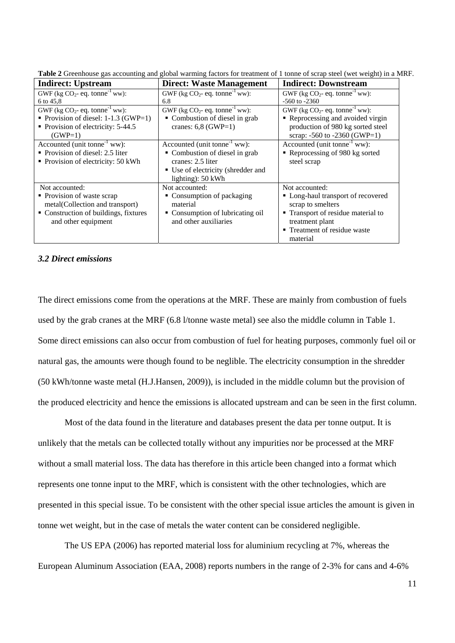| <b>Indirect: Upstream</b>                     | <b>Direct: Waste Management</b>               | <b>Indirect: Downstream</b>                   |
|-----------------------------------------------|-----------------------------------------------|-----------------------------------------------|
| GWF (kg $CO_2$ - eq. tonne <sup>-1</sup> ww): | GWF (kg $CO_2$ - eq. tonne <sup>-1</sup> ww): | GWF (kg $CO_2$ - eq. tonne <sup>-1</sup> ww): |
| 6 to 45,8                                     | 6.8                                           | $-560$ to $-2360$                             |
| GWF (kg $CO_2$ - eq. tonne <sup>-1</sup> ww): | GWF (kg $CO_2$ - eq. tonne <sup>-1</sup> ww): | GWF (kg $CO_2$ - eq. tonne <sup>-1</sup> ww): |
| Provision of diesel: $1-1.3$ (GWP=1)          | • Combustion of diesel in grab                | Reprocessing and avoided virgin               |
| Provision of electricity: 5-44.5              | cranes: $6,8$ (GWP=1)                         | production of 980 kg sorted steel             |
| $(GWP=1)$                                     |                                               | scrap: -560 to -2360 (GWP=1)                  |
| Accounted (unit tonne <sup>-1</sup> ww):      | Accounted (unit tonne <sup>-1</sup> ww):      | Accounted (unit tonne <sup>-1</sup> ww):      |
| • Provision of diesel: 2.5 liter              | • Combustion of diesel in grab                | Reprocessing of 980 kg sorted                 |
| • Provision of electricity: 50 kWh            | cranes: 2.5 liter                             | steel scrap                                   |
|                                               | ■ Use of electricity (shredder and            |                                               |
|                                               | lighting): $50$ kWh                           |                                               |
| Not accounted:                                | Not accounted:                                | Not accounted:                                |
| • Provision of waste scrap                    | • Consumption of packaging                    | • Long-haul transport of recovered            |
| metal(Collection and transport)               | material                                      | scrap to smelters                             |
| • Construction of buildings, fixtures         | • Consumption of lubricating oil              | • Transport of residue material to            |
| and other equipment                           | and other auxiliaries                         | treatment plant                               |
|                                               |                                               | • Treatment of residue waste                  |
|                                               |                                               | material                                      |

**Table 2** Greenhouse gas accounting and global warming factors for treatment of 1 tonne of scrap steel (wet weight) in a MRF.

# *3.2 Direct emissions*

The direct emissions come from the operations at the MRF. These are mainly from combustion of fuels used by the grab cranes at the MRF (6.8 l/tonne waste metal) see also the middle column in Table 1. Some direct emissions can also occur from combustion of fuel for heating purposes, commonly fuel oil or natural gas, the amounts were though found to be neglible. The electricity consumption in the shredder (50 kWh/tonne waste metal (H.J.Hansen, 2009)), is included in the middle column but the provision of the produced electricity and hence the emissions is allocated upstream and can be seen in the first column.

Most of the data found in the literature and databases present the data per tonne output. It is unlikely that the metals can be collected totally without any impurities nor be processed at the MRF without a small material loss. The data has therefore in this article been changed into a format which represents one tonne input to the MRF, which is consistent with the other technologies, which are presented in this special issue. To be consistent with the other special issue articles the amount is given in tonne wet weight, but in the case of metals the water content can be considered negligible.

The US EPA (2006) has reported material loss for aluminium recycling at 7%, whereas the European Aluminum Association (EAA, 2008) reports numbers in the range of 2-3% for cans and 4-6%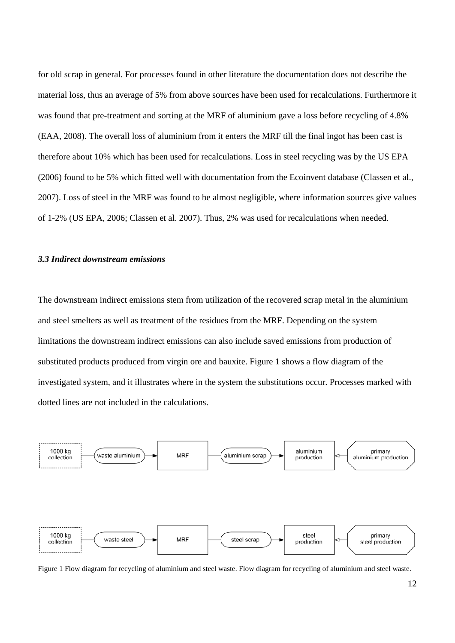for old scrap in general. For processes found in other literature the documentation does not describe the material loss, thus an average of 5% from above sources have been used for recalculations. Furthermore it was found that pre-treatment and sorting at the MRF of aluminium gave a loss before recycling of 4.8% (EAA, 2008). The overall loss of aluminium from it enters the MRF till the final ingot has been cast is therefore about 10% which has been used for recalculations. Loss in steel recycling was by the US EPA (2006) found to be 5% which fitted well with documentation from the Ecoinvent database (Classen et al., 2007). Loss of steel in the MRF was found to be almost negligible, where information sources give values of 1-2% (US EPA, 2006; Classen et al. 2007). Thus, 2% was used for recalculations when needed.

### *3.3 Indirect downstream emissions*

The downstream indirect emissions stem from utilization of the recovered scrap metal in the aluminium and steel smelters as well as treatment of the residues from the MRF. Depending on the system limitations the downstream indirect emissions can also include saved emissions from production of substituted products produced from virgin ore and bauxite. Figure 1 shows a flow diagram of the investigated system, and it illustrates where in the system the substitutions occur. Processes marked with dotted lines are not included in the calculations.



Figure 1 Flow diagram for recycling of aluminium and steel waste. Flow diagram for recycling of aluminium and steel waste.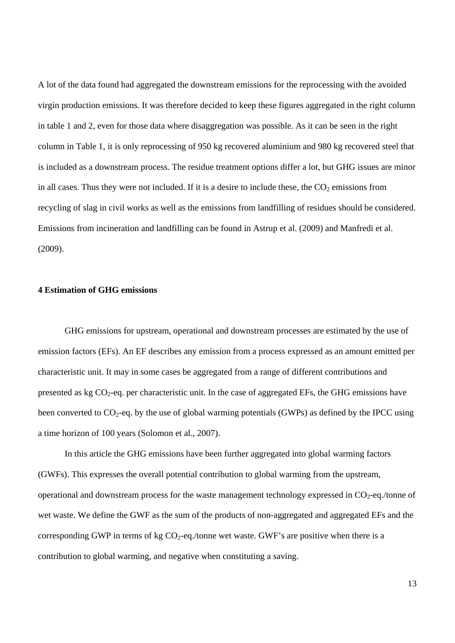A lot of the data found had aggregated the downstream emissions for the reprocessing with the avoided virgin production emissions. It was therefore decided to keep these figures aggregated in the right column in table 1 and 2, even for those data where disaggregation was possible. As it can be seen in the right column in Table 1, it is only reprocessing of 950 kg recovered aluminium and 980 kg recovered steel that is included as a downstream process. The residue treatment options differ a lot, but GHG issues are minor in all cases. Thus they were not included. If it is a desire to include these, the  $CO<sub>2</sub>$  emissions from recycling of slag in civil works as well as the emissions from landfilling of residues should be considered. Emissions from incineration and landfilling can be found in Astrup et al. (2009) and Manfredi et al. (2009).

## **4 Estimation of GHG emissions**

GHG emissions for upstream, operational and downstream processes are estimated by the use of emission factors (EFs). An EF describes any emission from a process expressed as an amount emitted per characteristic unit. It may in some cases be aggregated from a range of different contributions and presented as kg CO2-eq. per characteristic unit. In the case of aggregated EFs, the GHG emissions have been converted to  $CO_2$ -eq. by the use of global warming potentials (GWPs) as defined by the IPCC using a time horizon of 100 years (Solomon et al., 2007).

In this article the GHG emissions have been further aggregated into global warming factors (GWFs). This expresses the overall potential contribution to global warming from the upstream, operational and downstream process for the waste management technology expressed in  $CO<sub>2</sub>$ -eq./tonne of wet waste. We define the GWF as the sum of the products of non-aggregated and aggregated EFs and the corresponding GWP in terms of kg  $CO_2$ -eq./tonne wet waste. GWF's are positive when there is a contribution to global warming, and negative when constituting a saving.

13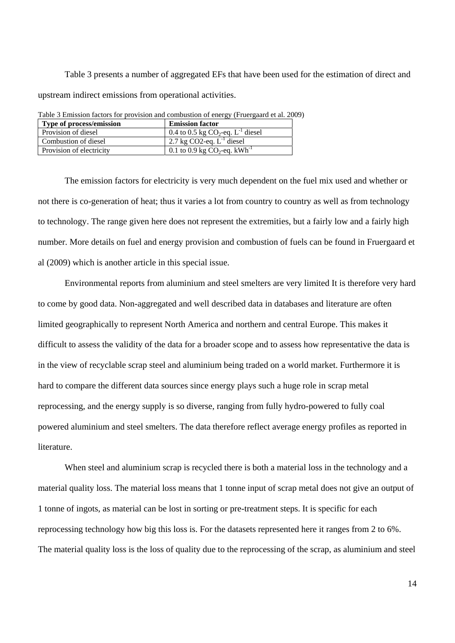Table 3 presents a number of aggregated EFs that have been used for the estimation of direct and upstream indirect emissions from operational activities.

| <b>Emission factor</b>                      |
|---------------------------------------------|
| 0.4 to 0.5 kg $CO_2$ -eq. $L^{-1}$ diesel   |
| 2.7 kg CO2-eq. $L^{-1}$ diesel              |
| 0.1 to 0.9 kg $CO_2$ -eq. kWh <sup>-1</sup> |
|                                             |

Table 3 Emission factors for provision and combustion of energy (Fruergaard et al. 2009)

The emission factors for electricity is very much dependent on the fuel mix used and whether or not there is co-generation of heat; thus it varies a lot from country to country as well as from technology to technology. The range given here does not represent the extremities, but a fairly low and a fairly high number. More details on fuel and energy provision and combustion of fuels can be found in Fruergaard et al (2009) which is another article in this special issue.

 Environmental reports from aluminium and steel smelters are very limited It is therefore very hard to come by good data. Non-aggregated and well described data in databases and literature are often limited geographically to represent North America and northern and central Europe. This makes it difficult to assess the validity of the data for a broader scope and to assess how representative the data is in the view of recyclable scrap steel and aluminium being traded on a world market. Furthermore it is hard to compare the different data sources since energy plays such a huge role in scrap metal reprocessing, and the energy supply is so diverse, ranging from fully hydro-powered to fully coal powered aluminium and steel smelters. The data therefore reflect average energy profiles as reported in literature.

When steel and aluminium scrap is recycled there is both a material loss in the technology and a material quality loss. The material loss means that 1 tonne input of scrap metal does not give an output of 1 tonne of ingots, as material can be lost in sorting or pre-treatment steps. It is specific for each reprocessing technology how big this loss is. For the datasets represented here it ranges from 2 to 6%. The material quality loss is the loss of quality due to the reprocessing of the scrap, as aluminium and steel

14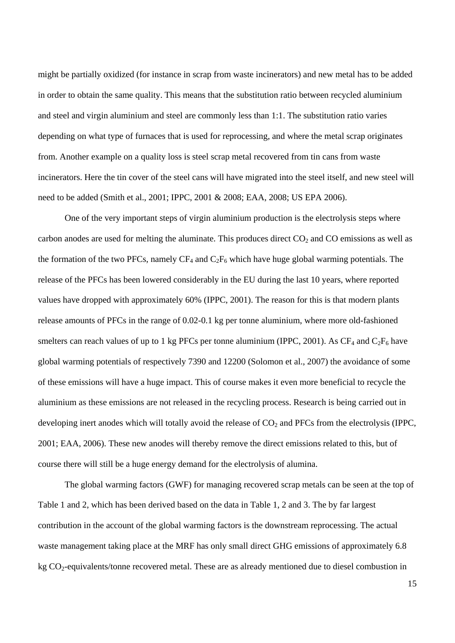might be partially oxidized (for instance in scrap from waste incinerators) and new metal has to be added in order to obtain the same quality. This means that the substitution ratio between recycled aluminium and steel and virgin aluminium and steel are commonly less than 1:1. The substitution ratio varies depending on what type of furnaces that is used for reprocessing, and where the metal scrap originates from. Another example on a quality loss is steel scrap metal recovered from tin cans from waste incinerators. Here the tin cover of the steel cans will have migrated into the steel itself, and new steel will need to be added (Smith et al., 2001; IPPC, 2001 & 2008; EAA, 2008; US EPA 2006).

One of the very important steps of virgin aluminium production is the electrolysis steps where carbon anodes are used for melting the aluminate. This produces direct  $CO<sub>2</sub>$  and  $CO$  emissions as well as the formation of the two PFCs, namely  $CF_4$  and  $C_2F_6$  which have huge global warming potentials. The release of the PFCs has been lowered considerably in the EU during the last 10 years, where reported values have dropped with approximately 60% (IPPC, 2001). The reason for this is that modern plants release amounts of PFCs in the range of 0.02-0.1 kg per tonne aluminium, where more old-fashioned smelters can reach values of up to 1 kg PFCs per tonne aluminium (IPPC, 2001). As  $CF_4$  and  $C_2F_6$  have global warming potentials of respectively 7390 and 12200 (Solomon et al., 2007) the avoidance of some of these emissions will have a huge impact. This of course makes it even more beneficial to recycle the aluminium as these emissions are not released in the recycling process. Research is being carried out in developing inert anodes which will totally avoid the release of  $CO<sub>2</sub>$  and PFCs from the electrolysis (IPPC, 2001; EAA, 2006). These new anodes will thereby remove the direct emissions related to this, but of course there will still be a huge energy demand for the electrolysis of alumina.

The global warming factors (GWF) for managing recovered scrap metals can be seen at the top of Table 1 and 2, which has been derived based on the data in Table 1, 2 and 3. The by far largest contribution in the account of the global warming factors is the downstream reprocessing. The actual waste management taking place at the MRF has only small direct GHG emissions of approximately 6.8 kg CO<sub>2</sub>-equivalents/tonne recovered metal. These are as already mentioned due to diesel combustion in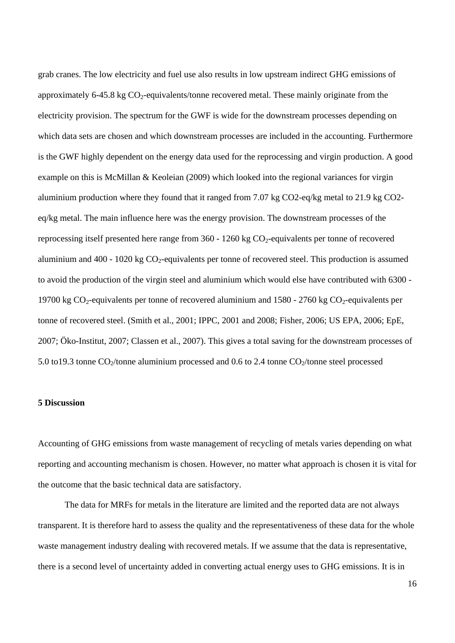grab cranes. The low electricity and fuel use also results in low upstream indirect GHG emissions of approximately 6-45.8 kg  $CO<sub>2</sub>$ -equivalents/tonne recovered metal. These mainly originate from the electricity provision. The spectrum for the GWF is wide for the downstream processes depending on which data sets are chosen and which downstream processes are included in the accounting. Furthermore is the GWF highly dependent on the energy data used for the reprocessing and virgin production. A good example on this is McMillan & Keoleian (2009) which looked into the regional variances for virgin aluminium production where they found that it ranged from 7.07 kg CO2-eq/kg metal to 21.9 kg CO2 eq/kg metal. The main influence here was the energy provision. The downstream processes of the reprocessing itself presented here range from  $360 - 1260$  kg CO<sub>2</sub>-equivalents per tonne of recovered aluminium and  $400 - 1020$  kg  $CO<sub>2</sub>$ -equivalents per tonne of recovered steel. This production is assumed to avoid the production of the virgin steel and aluminium which would else have contributed with 6300 - 19700 kg  $CO_2$ -equivalents per tonne of recovered aluminium and 1580 - 2760 kg  $CO_2$ -equivalents per tonne of recovered steel. (Smith et al., 2001; IPPC, 2001 and 2008; Fisher, 2006; US EPA, 2006; EpE, 2007; Öko-Institut, 2007; Classen et al., 2007). This gives a total saving for the downstream processes of 5.0 to19.3 tonne  $CO_2$ /tonne aluminium processed and 0.6 to 2.4 tonne  $CO_2$ /tonne steel processed

### **5 Discussion**

Accounting of GHG emissions from waste management of recycling of metals varies depending on what reporting and accounting mechanism is chosen. However, no matter what approach is chosen it is vital for the outcome that the basic technical data are satisfactory.

 The data for MRFs for metals in the literature are limited and the reported data are not always transparent. It is therefore hard to assess the quality and the representativeness of these data for the whole waste management industry dealing with recovered metals. If we assume that the data is representative, there is a second level of uncertainty added in converting actual energy uses to GHG emissions. It is in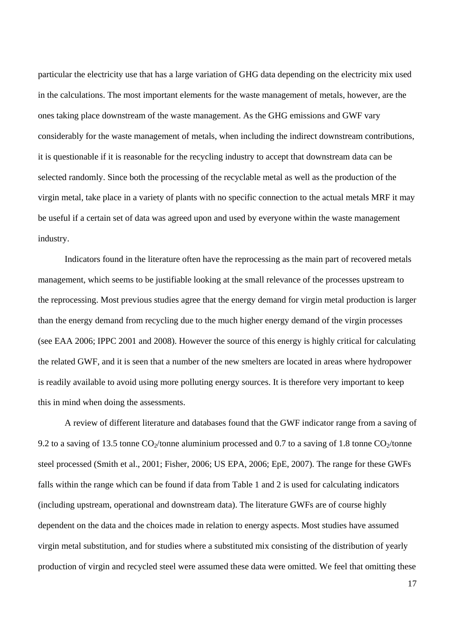particular the electricity use that has a large variation of GHG data depending on the electricity mix used in the calculations. The most important elements for the waste management of metals, however, are the ones taking place downstream of the waste management. As the GHG emissions and GWF vary considerably for the waste management of metals, when including the indirect downstream contributions, it is questionable if it is reasonable for the recycling industry to accept that downstream data can be selected randomly. Since both the processing of the recyclable metal as well as the production of the virgin metal, take place in a variety of plants with no specific connection to the actual metals MRF it may be useful if a certain set of data was agreed upon and used by everyone within the waste management industry.

Indicators found in the literature often have the reprocessing as the main part of recovered metals management, which seems to be justifiable looking at the small relevance of the processes upstream to the reprocessing. Most previous studies agree that the energy demand for virgin metal production is larger than the energy demand from recycling due to the much higher energy demand of the virgin processes (see EAA 2006; IPPC 2001 and 2008). However the source of this energy is highly critical for calculating the related GWF, and it is seen that a number of the new smelters are located in areas where hydropower is readily available to avoid using more polluting energy sources. It is therefore very important to keep this in mind when doing the assessments.

A review of different literature and databases found that the GWF indicator range from a saving of 9.2 to a saving of 13.5 tonne  $CO_2$ /tonne aluminium processed and 0.7 to a saving of 1.8 tonne  $CO_2$ /tonne steel processed (Smith et al., 2001; Fisher, 2006; US EPA, 2006; EpE, 2007). The range for these GWFs falls within the range which can be found if data from Table 1 and 2 is used for calculating indicators (including upstream, operational and downstream data). The literature GWFs are of course highly dependent on the data and the choices made in relation to energy aspects. Most studies have assumed virgin metal substitution, and for studies where a substituted mix consisting of the distribution of yearly production of virgin and recycled steel were assumed these data were omitted. We feel that omitting these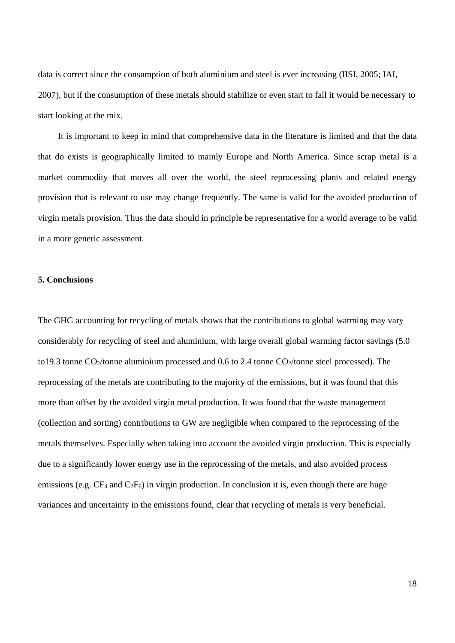data is correct since the consumption of both aluminium and steel is ever increasing (IISI, 2005; IAI, 2007), but if the consumption of these metals should stabilize or even start to fall it would be necessary to start looking at the mix.

It is important to keep in mind that comprehensive data in the literature is limited and that the data that do exists is geographically limited to mainly Europe and North America. Since scrap metal is a market commodity that moves all over the world, the steel reprocessing plants and related energy provision that is relevant to use may change frequently. The same is valid for the avoided production of virgin metals provision. Thus the data should in principle be representative for a world average to be valid in a more generic assessment.

# **5. Conclusions**

The GHG accounting for recycling of metals shows that the contributions to global warming may vary considerably for recycling of steel and aluminium, with large overall global warming factor savings (5.0 to19.3 tonne  $CO_2$ /tonne aluminium processed and 0.6 to 2.4 tonne  $CO_2$ /tonne steel processed). The reprocessing of the metals are contributing to the majority of the emissions, but it was found that this more than offset by the avoided virgin metal production. It was found that the waste management (collection and sorting) contributions to GW are negligible when compared to the reprocessing of the metals themselves. Especially when taking into account the avoided virgin production. This is especially due to a significantly lower energy use in the reprocessing of the metals, and also avoided process emissions (e.g.  $CF_4$  and  $C_2F_6$ ) in virgin production. In conclusion it is, even though there are huge variances and uncertainty in the emissions found, clear that recycling of metals is very beneficial.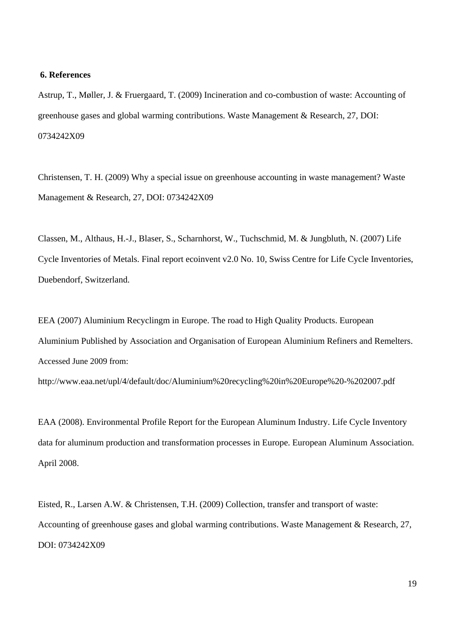# **6. References**

Astrup, T., Møller, J. & Fruergaard, T. (2009) Incineration and co-combustion of waste: Accounting of greenhouse gases and global warming contributions. Waste Management & Research, 27, DOI: 0734242X09

Christensen, T. H. (2009) Why a special issue on greenhouse accounting in waste management? Waste Management & Research, 27, DOI: 0734242X09

Classen, M., Althaus, H.-J., Blaser, S., Scharnhorst, W., Tuchschmid, M. & Jungbluth, N. (2007) Life Cycle Inventories of Metals. Final report ecoinvent v2.0 No. 10, Swiss Centre for Life Cycle Inventories, Duebendorf, Switzerland.

EEA (2007) Aluminium Recyclingm in Europe. The road to High Quality Products. European Aluminium Published by Association and Organisation of European Aluminium Refiners and Remelters. Accessed June 2009 from:

http://www.eaa.net/upl/4/default/doc/Aluminium%20recycling%20in%20Europe%20-%202007.pdf

EAA (2008). Environmental Profile Report for the European Aluminum Industry. Life Cycle Inventory data for aluminum production and transformation processes in Europe. European Aluminum Association. April 2008.

Eisted, R., Larsen A.W. & Christensen, T.H. (2009) Collection, transfer and transport of waste: Accounting of greenhouse gases and global warming contributions. Waste Management & Research, 27, DOI: 0734242X09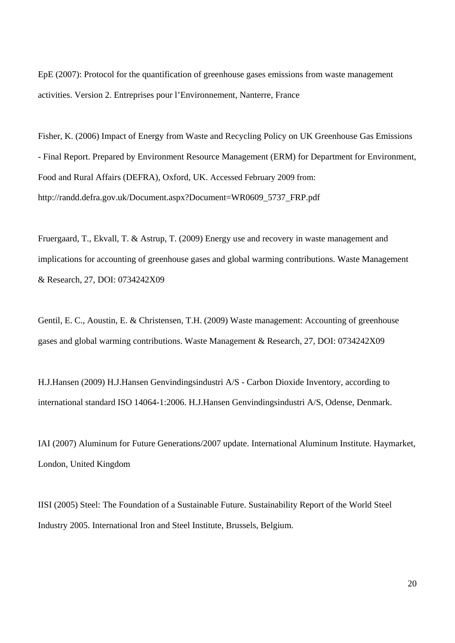EpE (2007): Protocol for the quantification of greenhouse gases emissions from waste management activities. Version 2. Entreprises pour l'Environnement, Nanterre, France

Fisher, K. (2006) Impact of Energy from Waste and Recycling Policy on UK Greenhouse Gas Emissions - Final Report. Prepared by Environment Resource Management (ERM) for Department for Environment, Food and Rural Affairs (DEFRA), Oxford, UK. Accessed February 2009 from: http://randd.defra.gov.uk/Document.aspx?Document=WR0609\_5737\_FRP.pdf

Fruergaard, T., Ekvall, T. & Astrup, T. (2009) Energy use and recovery in waste management and implications for accounting of greenhouse gases and global warming contributions. Waste Management & Research, 27, DOI: 0734242X09

Gentil, E. C., Aoustin, E. & Christensen, T.H. (2009) Waste management: Accounting of greenhouse gases and global warming contributions. Waste Management & Research, 27, DOI: 0734242X09

H.J.Hansen (2009) H.J.Hansen Genvindingsindustri A/S - Carbon Dioxide Inventory, according to international standard ISO 14064-1:2006. H.J.Hansen Genvindingsindustri A/S, Odense, Denmark.

IAI (2007) Aluminum for Future Generations/2007 update. International Aluminum Institute. Haymarket, London, United Kingdom

IISI (2005) Steel: The Foundation of a Sustainable Future. Sustainability Report of the World Steel Industry 2005. International Iron and Steel Institute, Brussels, Belgium.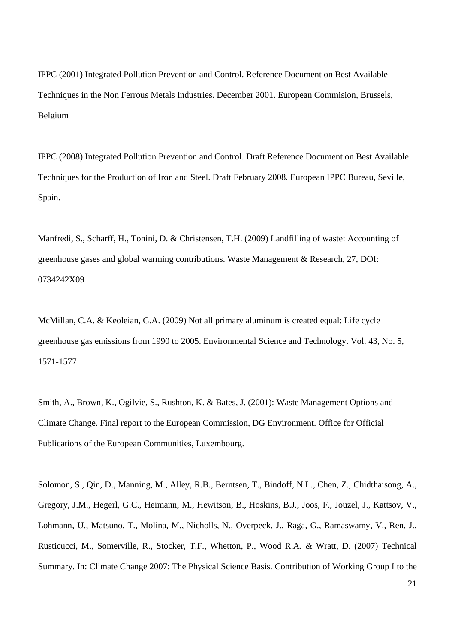IPPC (2001) Integrated Pollution Prevention and Control. Reference Document on Best Available Techniques in the Non Ferrous Metals Industries. December 2001. European Commision, Brussels, Belgium

IPPC (2008) Integrated Pollution Prevention and Control. Draft Reference Document on Best Available Techniques for the Production of Iron and Steel. Draft February 2008. European IPPC Bureau, Seville, Spain.

Manfredi, S., Scharff, H., Tonini, D. & Christensen, T.H. (2009) Landfilling of waste: Accounting of greenhouse gases and global warming contributions. Waste Management & Research, 27, DOI: 0734242X09

McMillan, C.A. & Keoleian, G.A. (2009) Not all primary aluminum is created equal: Life cycle greenhouse gas emissions from 1990 to 2005. Environmental Science and Technology. Vol. 43, No. 5, 1571-1577

Smith, A., Brown, K., Ogilvie, S., Rushton, K. & Bates, J. (2001): Waste Management Options and Climate Change. Final report to the European Commission, DG Environment. Office for Official Publications of the European Communities, Luxembourg.

Solomon, S., Qin, D., Manning, M., Alley, R.B., Berntsen, T., Bindoff, N.L., Chen, Z., Chidthaisong, A., Gregory, J.M., Hegerl, G.C., Heimann, M., Hewitson, B., Hoskins, B.J., Joos, F., Jouzel, J., Kattsov, V., Lohmann, U., Matsuno, T., Molina, M., Nicholls, N., Overpeck, J., Raga, G., Ramaswamy, V., Ren, J., Rusticucci, M., Somerville, R., Stocker, T.F., Whetton, P., Wood R.A. & Wratt, D. (2007) Technical Summary. In: Climate Change 2007: The Physical Science Basis. Contribution of Working Group I to the